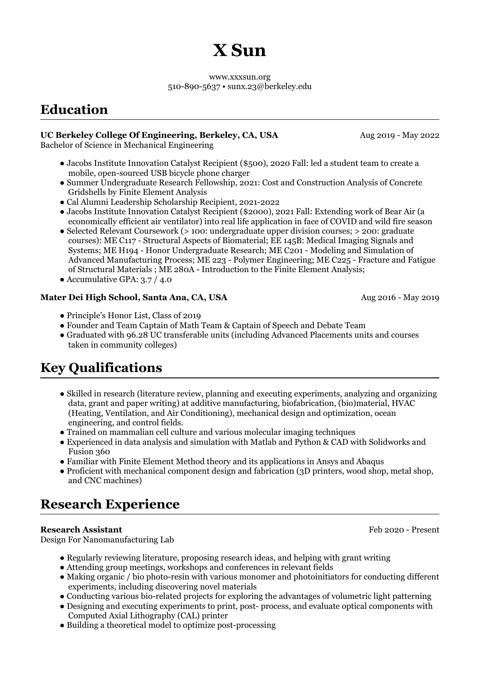# **X Sun**

www.xxxsun.org 510-890-5637 • sunx.23@berkeley.edu

# **Education**

### **UC Berkeley College Of Engineering, Berkeley, CA, USA**

Bachelor of Science in Mechanical Engineering

- Jacobs Institute Innovation Catalyst Recipient (\$500), 2020 Fall: led a student team to create a mobile, open-sourced USB bicycle phone charger
- Summer Undergraduate Research Fellowship, 2021: Cost and Construction Analysis of Concrete Gridshells by Finite Element Analysis
- Cal Alumni Leadership Scholarship Recipient, 2021-2022
- Jacobs Institute Innovation Catalyst Recipient (\$2000), 2021 Fall: Extending work of Bear Air (a economically efficient air ventilator) into real life application in face of COVID and wild fire season
- Selected Relevant Coursework (> 100: undergraduate upper division courses; > 200: graduate courses): ME C117 - Structural Aspects of Biomaterial; EE 145B: Medical Imaging Signals and Systems; ME H194 - Honor Undergraduate Research; ME C201 - Modeling and Simulation of Advanced Manufacturing Process; ME 223 - Polymer Engineering; ME C225 - Fracture and Fatigue of Structural Materials ; ME 280A - Introduction to the Finite Element Analysis;
- Accumulative GPA: 3.7 / 4.0

### **Mater Dei High School, Santa Ana, CA, USA**

Aug 2016 - May 2019

Aug 2019 - May 2022

- Principle's Honor List, Class of 2019
- Founder and Team Captain of Math Team & Captain of Speech and Debate Team
- Graduated with 96.28 UC transferable units (including Advanced Placements units and courses taken in community colleges)

# **Key Qualifications**

- Skilled in research (literature review, planning and executing experiments, analyzing and organizing data, grant and paper writing) at additive manufacturing, biofabrication, (bio)material, HVAC (Heating, Ventilation, and Air Conditioning), mechanical design and optimization, ocean engineering, and control fields.
- Trained on mammalian cell culture and various molecular imaging techniques
- Experienced in data analysis and simulation with Matlab and Python & CAD with Solidworks and Fusion 360
- Familiar with Finite Element Method theory and its applications in Ansys and Abaqus
- Proficient with mechanical component design and fabrication (3D printers, wood shop, metal shop, and CNC machines)

# **Research Experience**

### **Research Assistant**

Design For Nanomanufacturing Lab

- Regularly reviewing literature, proposing research ideas, and helping with grant writing
- Attending group meetings, workshops and conferences in relevant fields
- Making organic / bio photo-resin with various monomer and photoinitiators for conducting different experiments, including discovering novel materials
- Conducting various bio-related projects for exploring the advantages of volumetric light patterning
- Designing and executing experiments to print, post- process, and evaluate optical components with Computed Axial Lithography (CAL) printer
- Building a theoretical model to optimize post-processing

Feb 2020 - Present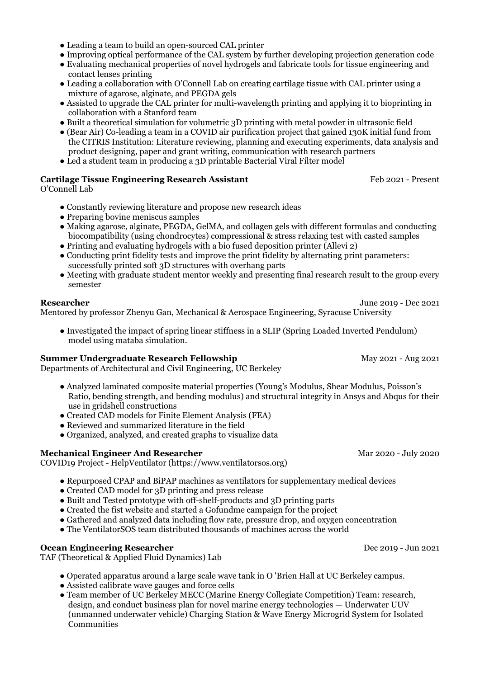- Leading a team to build an open-sourced CAL printer
- Improving optical performance of the CAL system by further developing projection generation code
- Evaluating mechanical properties of novel hydrogels and fabricate tools for tissue engineering and contact lenses printing
- Leading a collaboration with O'Connell Lab on creating cartilage tissue with CAL printer using a mixture of agarose, alginate, and PEGDA gels
- Assisted to upgrade the CAL printer for multi-wavelength printing and applying it to bioprinting in collaboration with a Stanford team
- Built a theoretical simulation for volumetric 3D printing with metal powder in ultrasonic field
- (Bear Air) Co-leading a team in a COVID air purification project that gained 130K initial fund from the CITRIS Institution: Literature reviewing, planning and executing experiments, data analysis and product designing, paper and grant writing, communication with research partners
- Led a student team in producing a 3D printable Bacterial Viral Filter model

#### **Cartilage Tissue Engineering Research Assistant**

O'Connell Lab

- Constantly reviewing literature and propose new research ideas
- Preparing bovine meniscus samples
- Making agarose, alginate, PEGDA, GelMA, and collagen gels with different formulas and conducting biocompatibility (using chondrocytes) compressional & stress relaxing test with casted samples
- Printing and evaluating hydrogels with a bio fused deposition printer (Allevi 2)
- Conducting print fidelity tests and improve the print fidelity by alternating print parameters: successfully printed soft 3D structures with overhang parts
- Meeting with graduate student mentor weekly and presenting final research result to the group every semester

#### **Researcher**

Mentored by professor Zhenyu Gan, Mechanical & Aerospace Engineering, Syracuse University

● Investigated the impact of spring linear stiffness in a SLIP (Spring Loaded Inverted Pendulum) model using mataba simulation.

#### **Summer Undergraduate Research Fellowship**

Departments of Architectural and Civil Engineering, UC Berkeley

- Analyzed laminated composite material properties (Young's Modulus, Shear Modulus, Poisson's Ratio, bending strength, and bending modulus) and structural integrity in Ansys and Abqus for their use in gridshell constructions
- Created CAD models for Finite Element Analysis (FEA)
- Reviewed and summarized literature in the field
- Organized, analyzed, and created graphs to visualize data

#### **Mechanical Engineer And Researcher**

COVID19 Project - HelpVentilator (https://www.ventilatorsos.org)

- Repurposed CPAP and BiPAP machines as ventilators for supplementary medical devices
- Created CAD model for 3D printing and press release
- Built and Tested prototype with off-shelf-products and 3D printing parts
- Created the fist website and started a Gofundme campaign for the project
- Gathered and analyzed data including flow rate, pressure drop, and oxygen concentration
- The VentilatorSOS team distributed thousands of machines across the world

### **Ocean Engineering Researcher**

TAF (Theoretical & Applied Fluid Dynamics) Lab

- Operated apparatus around a large scale wave tank in O 'Brien Hall at UC Berkeley campus.
- Assisted calibrate wave gauges and force cells
- Team member of UC Berkeley MECC (Marine Energy Collegiate Competition) Team: research, design, and conduct business plan for novel marine energy technologies — Underwater UUV (unmanned underwater vehicle) Charging Station & Wave Energy Microgrid System for Isolated Communities

Mar 2020 - July 2020

Feb 2021 - Present

June 2019 - Dec 2021

May 2021 - Aug 2021

Dec 2019 - Jun 2021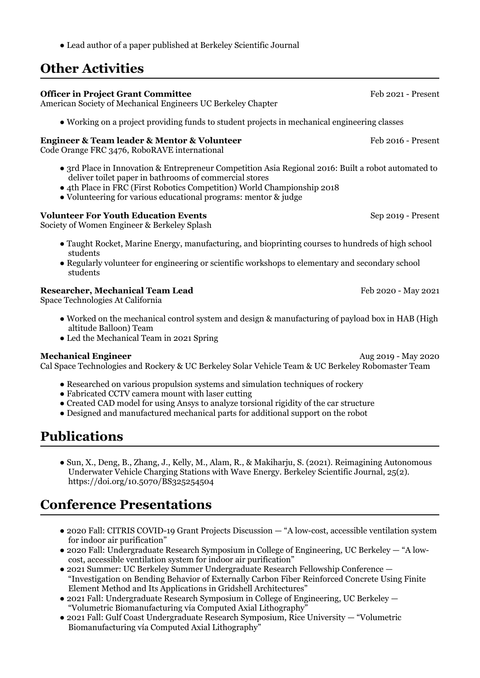● Lead author of a paper published at Berkeley Scientific Journal

# **Other Activities**

### Feb 2016 - Present Sep 2019 - Present **Officer in Project Grant Committee**  American Society of Mechanical Engineers UC Berkeley Chapter ● Working on a project providing funds to student projects in mechanical engineering classes **Engineer & Team leader & Mentor & Volunteer** Code Orange FRC 3476, RoboRAVE international ● 3rd Place in Innovation & Entrepreneur Competition Asia Regional 2016: Built a robot automated to deliver toilet paper in bathrooms of commercial stores ● 4th Place in FRC (First Robotics Competition) World Championship 2018 ● Volunteering for various educational programs: mentor & judge **Volunteer For Youth Education Events** Society of Women Engineer & Berkeley Splash ● Taught Rocket, Marine Energy, manufacturing, and bioprinting courses to hundreds of high school students

● Regularly volunteer for engineering or scientific workshops to elementary and secondary school students

#### **Researcher, Mechanical Team Lead**

Space Technologies At California

- Worked on the mechanical control system and design & manufacturing of payload box in HAB (High altitude Balloon) Team
- Led the Mechanical Team in 2021 Spring

#### **Mechanical Engineer**

Cal Space Technologies and Rockery & UC Berkeley Solar Vehicle Team & UC Berkeley Robomaster Team

- Researched on various propulsion systems and simulation techniques of rockery
- Fabricated CCTV camera mount with laser cutting
- Created CAD model for using Ansys to analyze torsional rigidity of the car structure
- Designed and manufactured mechanical parts for additional support on the robot

# **Publications**

● Sun, X., Deng, B., Zhang, J., Kelly, M., Alam, R., & Makiharju, S. (2021). Reimagining Autonomous Underwater Vehicle Charging Stations with Wave Energy. Berkeley Scientific Journal, 25(2). https://doi.org/10.5070/BS325254504

### **Conference Presentations**

- 2020 Fall: CITRIS COVID-19 Grant Projects Discussion "A low-cost, accessible ventilation system for indoor air purification"
- 2020 Fall: Undergraduate Research Symposium in College of Engineering, UC Berkeley "A lowcost, accessible ventilation system for indoor air purification"
- 2021 Summer: UC Berkeley Summer Undergraduate Research Fellowship Conference "Investigation on Bending Behavior of Externally Carbon Fiber Reinforced Concrete Using Finite Element Method and Its Applications in Gridshell Architectures"
- 2021 Fall: Undergraduate Research Symposium in College of Engineering, UC Berkeley "Volumetric Biomanufacturing vía Computed Axial Lithography"
- 2021 Fall: Gulf Coast Undergraduate Research Symposium, Rice University "Volumetric Biomanufacturing vía Computed Axial Lithography"

Feb 2021 - Present

Feb 2020 - May 2021

Aug 2019 - May 2020